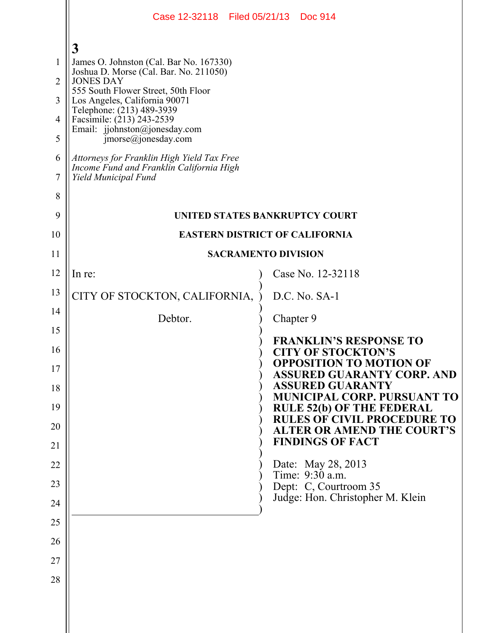|                                                                | Case 12-32118 Filed 05/21/13 Doc 914                                                                                                                                                                                                                                                                                                                                                                                               |                                                                                                              |  |
|----------------------------------------------------------------|------------------------------------------------------------------------------------------------------------------------------------------------------------------------------------------------------------------------------------------------------------------------------------------------------------------------------------------------------------------------------------------------------------------------------------|--------------------------------------------------------------------------------------------------------------|--|
| 1<br>$\overline{2}$<br>3<br>$\overline{4}$<br>5<br>6<br>7<br>8 | 3<br>James O. Johnston (Cal. Bar No. 167330)<br>Joshua D. Morse (Cal. Bar. No. 211050)<br><b>JONES DAY</b><br>555 South Flower Street, 50th Floor<br>Los Angeles, California 90071<br>Telephone: (213) 489-3939<br>Facsimile: (213) 243-2539<br>Email: jjohnston@jonesday.com<br>$\text{imorse}(a)$ jonesday.com<br>Attorneys for Franklin High Yield Tax Free<br>Income Fund and Franklin California High<br>Yield Municipal Fund |                                                                                                              |  |
| 9                                                              | UNITED STATES BANKRUPTCY COURT                                                                                                                                                                                                                                                                                                                                                                                                     |                                                                                                              |  |
| 10<br>11                                                       | <b>EASTERN DISTRICT OF CALIFORNIA</b><br><b>SACRAMENTO DIVISION</b>                                                                                                                                                                                                                                                                                                                                                                |                                                                                                              |  |
| 12                                                             | In re:                                                                                                                                                                                                                                                                                                                                                                                                                             | Case No. 12-32118                                                                                            |  |
| 13                                                             |                                                                                                                                                                                                                                                                                                                                                                                                                                    | D.C. No. SA-1                                                                                                |  |
| 14                                                             | CITY OF STOCKTON, CALIFORNIA,                                                                                                                                                                                                                                                                                                                                                                                                      |                                                                                                              |  |
| 15                                                             | Debtor.                                                                                                                                                                                                                                                                                                                                                                                                                            | Chapter 9                                                                                                    |  |
| 16<br>17                                                       |                                                                                                                                                                                                                                                                                                                                                                                                                                    | <b>FRANKLIN'S RESPONSE TO</b><br><b>CITY OF STOCKTON'S</b><br><b>OPPOSITION TO MOTION OF</b>                 |  |
| 18                                                             |                                                                                                                                                                                                                                                                                                                                                                                                                                    | <b>ASSURED GUARANTY CORP. AND</b><br><b>ASSURED GUARANTY</b>                                                 |  |
| 19                                                             |                                                                                                                                                                                                                                                                                                                                                                                                                                    | <b>MUNICIPAL CORP. PURSUANT TO</b><br><b>RULE 52(b) OF THE FEDERAL</b><br><b>RULES OF CIVIL PROCEDURE TO</b> |  |
| 20                                                             |                                                                                                                                                                                                                                                                                                                                                                                                                                    | <b>ALTER OR AMEND THE COURT'S</b><br><b>FINDINGS OF FACT</b>                                                 |  |
| 21                                                             |                                                                                                                                                                                                                                                                                                                                                                                                                                    |                                                                                                              |  |
| 22                                                             |                                                                                                                                                                                                                                                                                                                                                                                                                                    | Date: May 28, 2013<br>Time: 9:30 a.m.                                                                        |  |
| 23<br>24                                                       |                                                                                                                                                                                                                                                                                                                                                                                                                                    | Dept: C, Courtroom 35<br>Judge: Hon. Christopher M. Klein                                                    |  |
| 25                                                             |                                                                                                                                                                                                                                                                                                                                                                                                                                    |                                                                                                              |  |
| 26                                                             |                                                                                                                                                                                                                                                                                                                                                                                                                                    |                                                                                                              |  |
| 27                                                             |                                                                                                                                                                                                                                                                                                                                                                                                                                    |                                                                                                              |  |
| 28                                                             |                                                                                                                                                                                                                                                                                                                                                                                                                                    |                                                                                                              |  |
|                                                                |                                                                                                                                                                                                                                                                                                                                                                                                                                    |                                                                                                              |  |
|                                                                |                                                                                                                                                                                                                                                                                                                                                                                                                                    |                                                                                                              |  |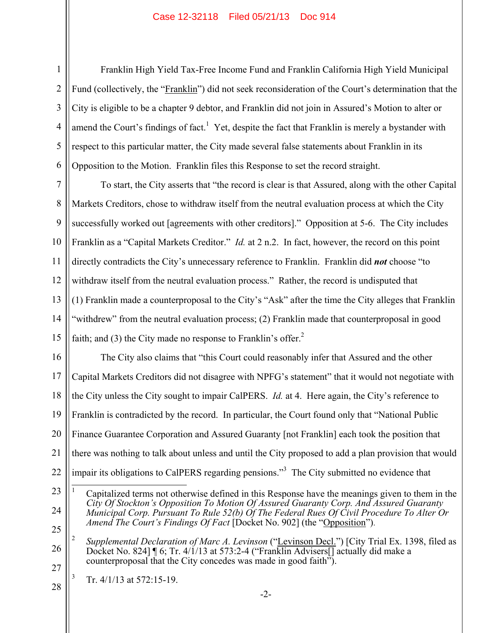## Case 12-32118 Filed 05/21/13 Doc 914

Franklin High Yield Tax-Free Income Fund and Franklin California High Yield Municipal Fund (collectively, the "Franklin") did not seek reconsideration of the Court's determination that the City is eligible to be a chapter 9 debtor, and Franklin did not join in Assured's Motion to alter or amend the Court's findings of fact.<sup>1</sup> Yet, despite the fact that Franklin is merely a bystander with respect to this particular matter, the City made several false statements about Franklin in its Opposition to the Motion. Franklin files this Response to set the record straight.

7 8 9 10 11 12 13 14 15 To start, the City asserts that "the record is clear is that Assured, along with the other Capital Markets Creditors, chose to withdraw itself from the neutral evaluation process at which the City successfully worked out [agreements with other creditors]." Opposition at 5-6. The City includes Franklin as a "Capital Markets Creditor." *Id.* at 2 n.2. In fact, however, the record on this point directly contradicts the City's unnecessary reference to Franklin. Franklin did *not* choose "to withdraw itself from the neutral evaluation process." Rather, the record is undisputed that (1) Franklin made a counterproposal to the City's "Ask" after the time the City alleges that Franklin "withdrew" from the neutral evaluation process; (2) Franklin made that counterproposal in good faith; and (3) the City made no response to Franklin's offer. $<sup>2</sup>$ </sup>

16 17 18 19 20 21 22 The City also claims that "this Court could reasonably infer that Assured and the other Capital Markets Creditors did not disagree with NPFG's statement" that it would not negotiate with the City unless the City sought to impair CalPERS. *Id.* at 4. Here again, the City's reference to Franklin is contradicted by the record. In particular, the Court found only that "National Public Finance Guarantee Corporation and Assured Guaranty [not Franklin] each took the position that there was nothing to talk about unless and until the City proposed to add a plan provision that would impair its obligations to CalPERS regarding pensions."<sup>3</sup> The City submitted no evidence that

1

2

3

4

5

6

- 24 25  $\overline{a}$ 1 Capitalized terms not otherwise defined in this Response have the meanings given to them in the *City Of Stockton's Opposition To Motion Of Assured Guaranty Corp. And Assured Guaranty Municipal Corp. Pursuant To Rule 52(b) Of The Federal Rues Of Civil Procedure To Alter Or Amend The Court's Findings Of Fact* [Docket No. 902] (the "Opposition").
- 26 27 2 *Supplemental Declaration of Marc A. Levinson* ("Levinson Decl.") [City Trial Ex. 1398, filed as Docket No. 824] ¶ 6; Tr. 4/1/13 at 573:2-4 ("Franklin Advisers[] actually did make a counterproposal that the City concedes was made in good faith").

28 3 Tr. 4/1/13 at 572:15-19.

<sup>23</sup>